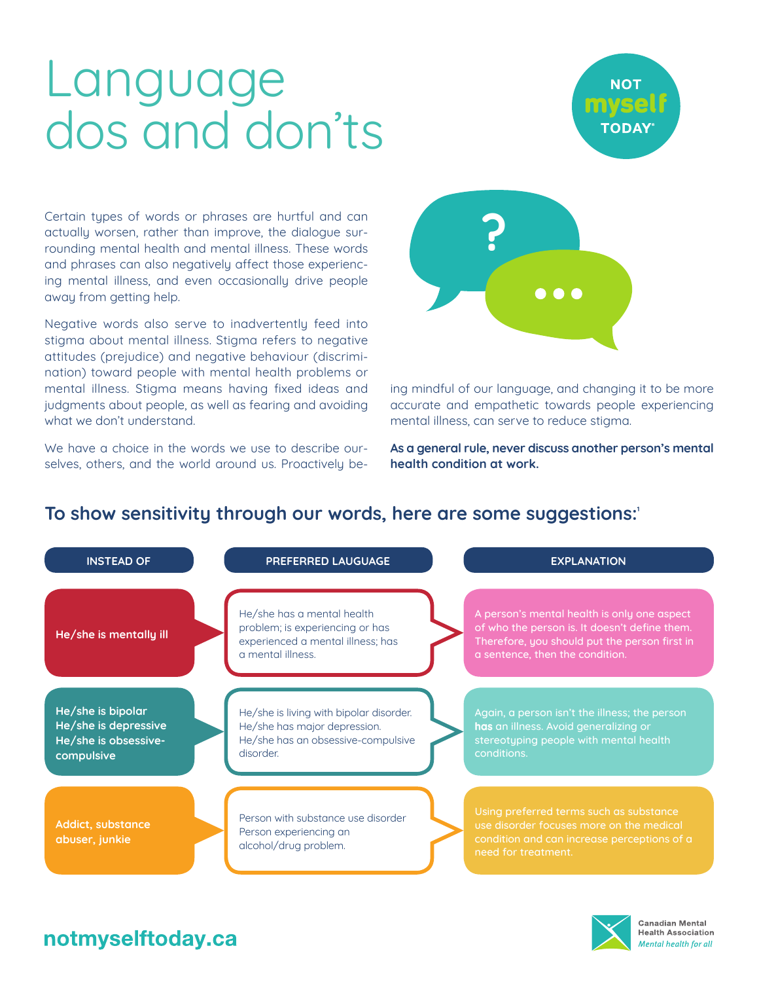# Language dos and don'ts



Certain types of words or phrases are hurtful and can actually worsen, rather than improve, the dialogue surrounding mental health and mental illness. These words and phrases can also negatively affect those experiencing mental illness, and even occasionally drive people away from getting help.

Negative words also serve to inadvertently feed into stigma about mental illness. Stigma refers to negative attitudes (prejudice) and negative behaviour (discrimination) toward people with mental health problems or mental illness. Stigma means having fixed ideas and judgments about people, as well as fearing and avoiding what we don't understand.

We have a choice in the words we use to describe ourselves, others, and the world around us. Proactively be-



ing mindful of our language, and changing it to be more accurate and empathetic towards people experiencing mental illness, can serve to reduce stigma.

**As a general rule, never discuss another person's mental health condition at work.**

### To show sensitivity through our words, here are some suggestions:<sup>1</sup>

| <b>INSTEAD OF</b>                                                               | PREFERRED LAUGUAGE                                                                                                        | <b>EXPLANATION</b>                                                                                                                                                               |
|---------------------------------------------------------------------------------|---------------------------------------------------------------------------------------------------------------------------|----------------------------------------------------------------------------------------------------------------------------------------------------------------------------------|
| He/she is mentally ill                                                          | He/she has a mental health<br>problem; is experiencing or has<br>experienced a mental illness; has<br>a mental illness.   | A person's mental health is only one aspect<br>of who the person is. It doesn't define them.<br>Therefore, you should put the person first in<br>a sentence, then the condition. |
| He/she is bipolar<br>He/she is depressive<br>He/she is obsessive-<br>compulsive | He/she is living with bipolar disorder.<br>He/she has major depression.<br>He/she has an obsessive-compulsive<br>disorder | Again, a person isn't the illness; the person<br>has an illness. Avoid generalizing or<br>stereotyping people with mental health<br>conditions.                                  |
| Addict, substance<br>abuser, junkie                                             | Person with substance use disorder<br>Person experiencing an<br>alcohol/drug problem.                                     | Using preferred terms such as substance<br>use disorder focuses more on the medical<br>condition and can increase perceptions of a<br>need for treatment.                        |

## notmyselftoday.ca